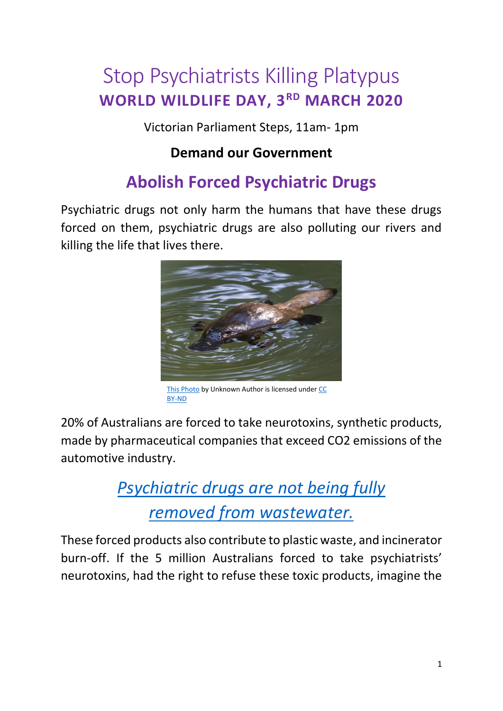# Stop Psychiatrists Killing Platypus **WORLD WILDLIFE DAY, 3RD MARCH 2020**

Victorian Parliament Steps, 11am- 1pm

#### **Demand our Government**

# **Abolish Forced Psychiatric Drugs**

Psychiatric drugs not only harm the humans that have these drugs forced on them, psychiatric drugs are also polluting our rivers and killing the life that lives there.



[This Photo](https://pursuit.unimelb.edu.au/articles/on-the-dna-trail-of-the-platypus) by Unknown Author is licensed unde[r CC](https://creativecommons.org/licenses/by-nd/3.0/)  [BY-ND](https://creativecommons.org/licenses/by-nd/3.0/)

20% of Australians are forced to take neurotoxins, synthetic products, made by pharmaceutical companies that exceed CO2 emissions of the automotive industry.

> *[Psychiatric drugs are not being](https://www.who.int/water_sanitation_health/publications/2011/pharmaceuticals_20110601.pdf) fully [removed from wastewater.](https://www.who.int/water_sanitation_health/publications/2011/pharmaceuticals_20110601.pdf)*

These forced products also contribute to plastic waste, and incinerator burn-off. If the 5 million Australians forced to take psychiatrists' neurotoxins, had the right to refuse these toxic products, imagine the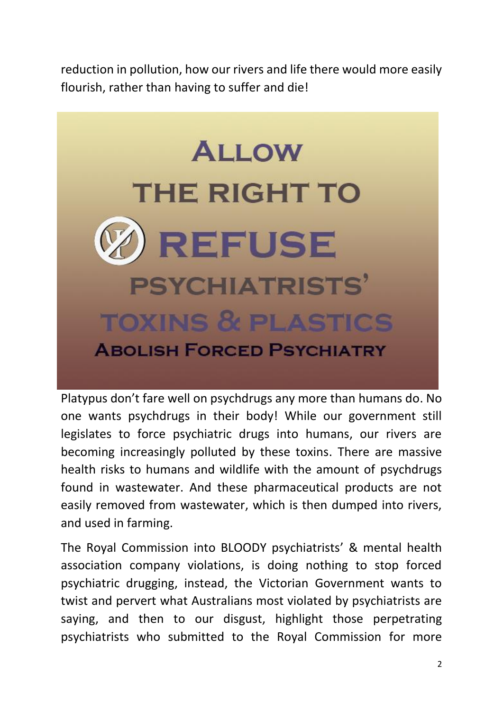reduction in pollution, how our rivers and life there would more easily flourish, rather than having to suffer and die!



Platypus don't fare well on psychdrugs any more than humans do. No one wants psychdrugs in their body! While our government still legislates to force psychiatric drugs into humans, our rivers are becoming increasingly polluted by these toxins. There are massive health risks to humans and wildlife with the amount of psychdrugs found in wastewater. And these pharmaceutical products are not easily removed from wastewater, which is then dumped into rivers, and used in farming.

The Royal Commission into BLOODY psychiatrists' & mental health association company violations, is doing nothing to stop forced psychiatric drugging, instead, the Victorian Government wants to twist and pervert what Australians most violated by psychiatrists are saying, and then to our disgust, highlight those perpetrating psychiatrists who submitted to the Royal Commission for more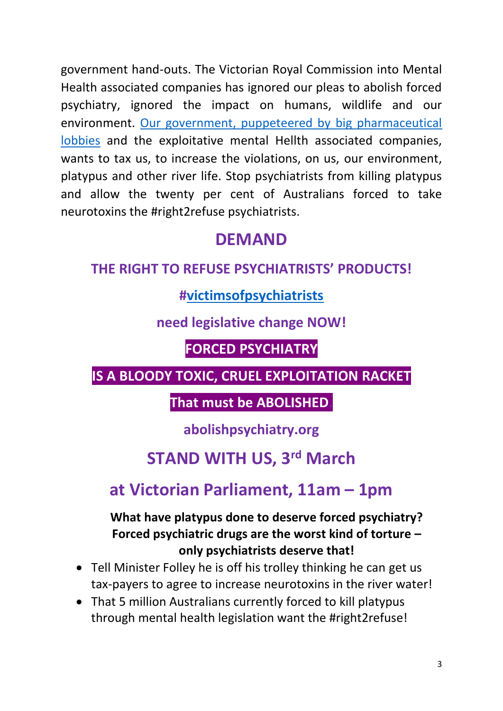government hand-outs. The Victorian Royal Commission into Mental Health associated companies has ignored our pleas to abolish forced psychiatry, ignored the impact on humans, wildlife and our environment. [Our government, puppeteered by big pharmaceutical](https://thenewdaily.com.au/life/wellbeing/2020/02/08/pharmacists-political-donations-australia/?utm_source=Adestra&utm_medium=email&utm_campaign=Sunday%20Best%20-%2020200209)  [lobbies](https://thenewdaily.com.au/life/wellbeing/2020/02/08/pharmacists-political-donations-australia/?utm_source=Adestra&utm_medium=email&utm_campaign=Sunday%20Best%20-%2020200209) and the exploitative mental Hellth associated companies, wants to tax us, to increase the violations, on us, our environment, platypus and other river life. Stop psychiatrists from killing platypus and allow the twenty per cent of Australians forced to take neurotoxins the #right2refuse psychiatrists.

### **DEMAND**

#### **THE RIGHT TO REFUSE PSYCHIATRISTS' PRODUCTS!**

#### **[#victimsofpsychiatrists](http://www.victimsofpsychiatrists.com/)**

#### **need legislative change NOW!**

#### **FORCED PSYCHIATRY**

#### **IS A BLOODY TOXIC, CRUEL EXPLOITATION RACKET**

#### **That must be ABOLISHED.**

#### **abolishpsychiatry.org**

### **STAND WITH US, 3rd March**

## **at Victorian Parliament, 11am – 1pm**

#### **What have platypus done to deserve forced psychiatry? Forced psychiatric drugs are the worst kind of torture – only psychiatrists deserve that!**

- Tell Minister Folley he is off his trolley thinking he can get us tax-payers to agree to increase neurotoxins in the river water!
- That 5 million Australians currently forced to kill platypus through mental health legislation want the #right2refuse!